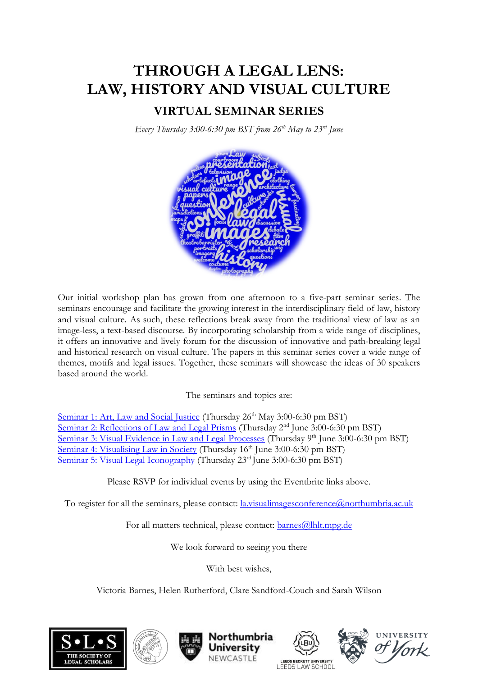### **VIRTUAL SEMINAR SERIES**

*Every Thursday 3:00-6:30 pm BST from 26th May to 23rd June* 



Our initial workshop plan has grown from one afternoon to a five-part seminar series. The seminars encourage and facilitate the growing interest in the interdisciplinary field of law, history and visual culture. As such, these reflections break away from the traditional view of law as an image-less, a text-based discourse. By incorporating scholarship from a wide range of disciplines, it offers an innovative and lively forum for the discussion of innovative and path-breaking legal and historical research on visual culture. The papers in this seminar series cover a wide range of themes, motifs and legal issues. Together, these seminars will showcase the ideas of 30 speakers based around the world.

The seminars and topics are:

[Seminar 1: Art, Law and Social Justice](https://www.eventbrite.com/e/319026866947) (Thursday 26<sup>th</sup> May 3:00-6:30 pm BST) [Seminar 2: Reflections of Law and Legal Prisms](https://www.eventbrite.com/e/320569400707) (Thursday 2<sup>nd</sup> June 3:00-6:30 pm BST) [Seminar 3: Visual Evidence in Law and Legal Processes](https://www.eventbrite.com/e/320575699547) (Thursday 9<sup>th</sup> June 3:00-6:30 pm BST) [Seminar 4: Visualising Law in Society](https://www.eventbrite.com/e/320580544037) (Thursday 16<sup>th</sup> June 3:00-6:30 pm BST) [Seminar 5: Visual Legal Iconography](https://www.eventbrite.com/e/320586592127) (Thursday 23<sup>rd</sup> June 3:00-6:30 pm BST)

Please RSVP for individual events by using the Eventbrite links above.

To register for all the seminars, please contact: [la.visualimagesconference@northumbria.ac.uk](mailto:la.visualimagesconference@northumbria.ac.uk)

For all matters technical, please contact: [barnes@lhlt.mpg.de](file:///D:/SLS/barnes@lhlt.mpg.de)

We look forward to seeing you there

With best wishes,

Victoria Barnes, Helen Rutherford, Clare Sandford-Couch and Sarah Wilson











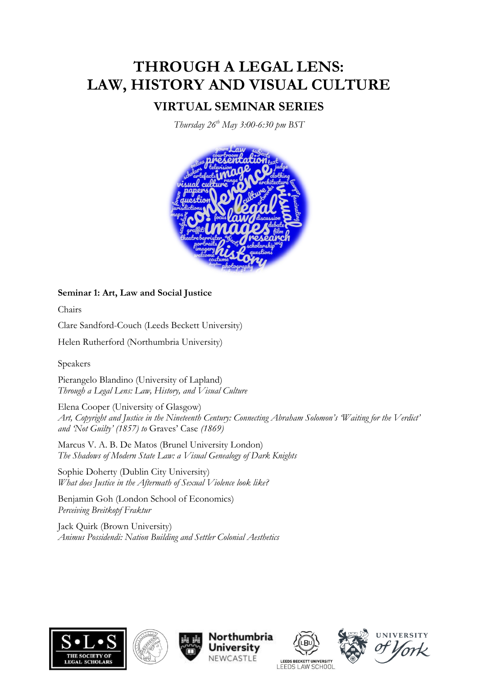### **VIRTUAL SEMINAR SERIES**

*Thursday 26th May 3:00-6:30 pm BST*



**Seminar 1: Art, Law and Social Justice**

Chairs

Clare Sandford-Couch (Leeds Beckett University)

Helen Rutherford (Northumbria University)

Speakers

Pierangelo Blandino (University of Lapland) *Through a Legal Lens: Law, History, and Visual Culture*

Elena Cooper (University of Glasgow) *Art, Copyright and Justice in the Nineteenth Century: Connecting Abraham Solomon's 'Waiting for the Verdict' and 'Not Guilty' (1857) to* Graves' Case *(1869)*

Marcus V. A. B. De Matos (Brunel University London) *The Shadows of Modern State Law: a Visual Genealogy of Dark Knights*

Sophie Doherty (Dublin City University) *What does Justice in the Aftermath of Sexual Violence look like?*

Benjamin Goh (London School of Economics) *Perceiving Breitkopf Fraktur*

Jack Quirk (Brown University) *Animus Possidendi: Nation Building and Settler Colonial Aesthetics*











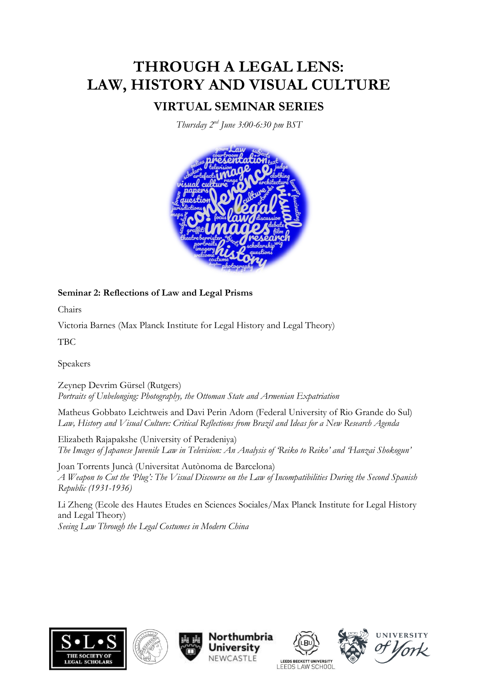### **VIRTUAL SEMINAR SERIES**

*Thursday 2 nd June 3:00-6:30 pm BST*



#### **Seminar 2: Reflections of Law and Legal Prisms**

Chairs

Victoria Barnes (Max Planck Institute for Legal History and Legal Theory)

TBC

Speakers

Zeynep Devrim Gürsel (Rutgers) *Portraits of Unbelonging: Photography, the Ottoman State and Armenian Expatriation*

Matheus Gobbato Leichtweis and Davi Perin Adorn (Federal University of Rio Grande do Sul) *Law, History and Visual Culture: Critical Reflections from Brazil and Ideas for a New Research Agenda*

Elizabeth Rajapakshe (University of Peradeniya) *The Images of Japanese Juvenile Law in Television: An Analysis of 'Reiko to Reiko' and 'Hanzai Shokogun'*

Joan Torrents Juncà (Universitat Autònoma de Barcelona) *A Weapon to Cut the 'Plug': The Visual Discourse on the Law of Incompatibilities During the Second Spanish Republic (1931-1936)*

Li Zheng (Ecole des Hautes Etudes en Sciences Sociales/Max Planck Institute for Legal History and Legal Theory) *Seeing Law Through the Legal Costumes in Modern China*











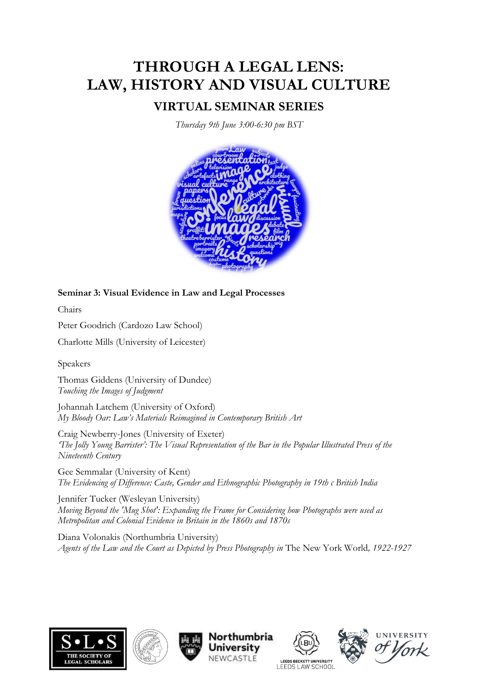### **VIRTUAL SEMINAR SERIES**

*Thursday 9th June 3:00-6:30 pm BST*



#### **Seminar 3: Visual Evidence in Law and Legal Processes**

Chairs

Peter Goodrich (Cardozo Law School)

Charlotte Mills (University of Leicester)

Speakers

Thomas Giddens (University of Dundee) *Touching the Images of Judgment*

Johannah Latchem (University of Oxford) *My Bloody Oar: Law's Materials Reimagined in Contemporary British Art*

Craig Newberry-Jones (University of Exeter) *'The Jolly Young Barrister': The Visual Representation of the Bar in the Popular Illustrated Press of the Nineteenth Century*

Gee Semmalar (University of Kent) *The Evidencing of Difference: Caste, Gender and Ethnographic Photography in 19th c British India*

Jennifer Tucker (Wesleyan University) *Moving Beyond the 'Mug Shot': Expanding the Frame for Considering how Photographs were used as Metropolitan and Colonial Evidence in Britain in the 1860s and 1870s*

Diana Volonakis (Northumbria University) *Agents of the Law and the Court as Depicted by Press Photography in* The New York World*, 1922-1927*











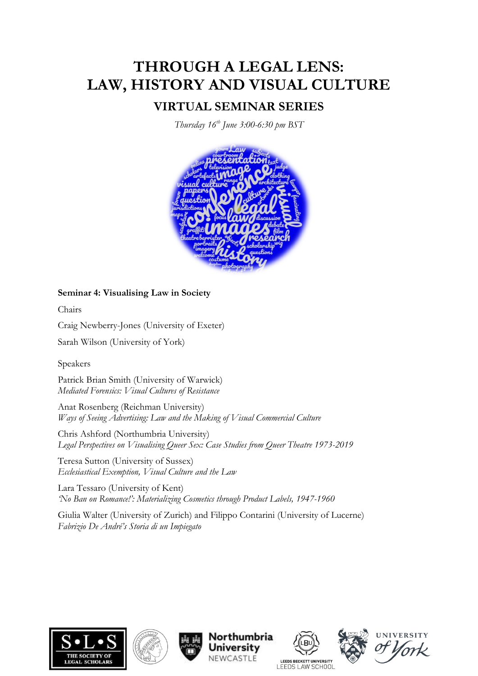### **VIRTUAL SEMINAR SERIES**

*Thursday 16th June 3:00-6:30 pm BST*



**Seminar 4: Visualising Law in Society**

Chairs

Craig Newberry-Jones (University of Exeter)

Sarah Wilson (University of York)

Speakers

Patrick Brian Smith (University of Warwick) *Mediated Forensics: Visual Cultures of Resistance*

Anat Rosenberg (Reichman University) *Ways of Seeing Advertising: Law and the Making of Visual Commercial Culture*

Chris Ashford (Northumbria University) *Legal Perspectives on Visualising Queer Sex: Case Studies from Queer Theatre 1973-2019*

Teresa Sutton (University of Sussex) *Ecclesiastical Exemption, Visual Culture and the Law*

Lara Tessaro (University of Kent) *'No Ban on Romance!': Materializing Cosmetics through Product Labels, 1947-1960*

Giulia Walter (University of Zurich) and Filippo Contarini (University of Lucerne) *Fabrizio De André's Storia di un Impiegato*